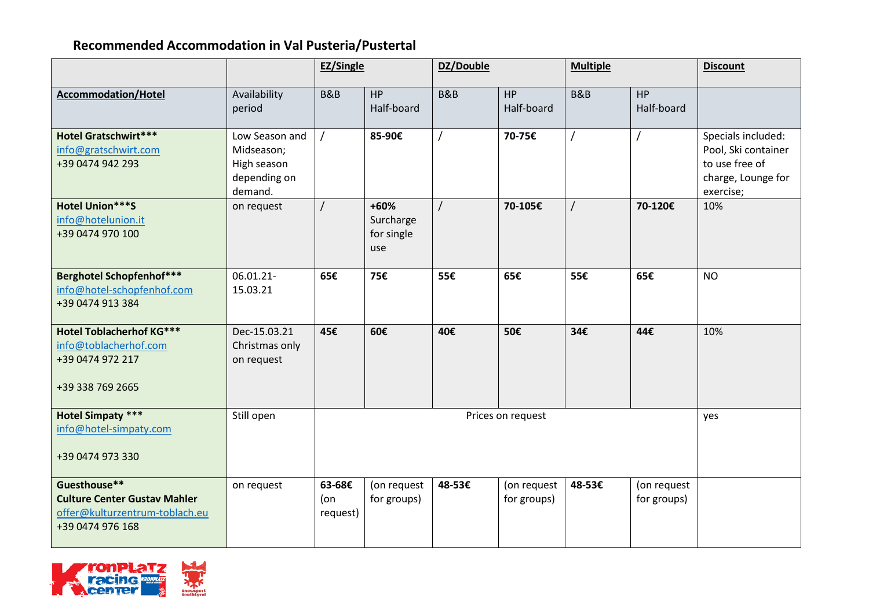## **Recommended Accommodation in Val Pusteria/Pustertal**

|                                                                                                           |                                                                        | <b>EZ/Single</b>          |                                          | DZ/Double  |                            | <b>Multiple</b> |                            | <b>Discount</b>                                                                                |
|-----------------------------------------------------------------------------------------------------------|------------------------------------------------------------------------|---------------------------|------------------------------------------|------------|----------------------------|-----------------|----------------------------|------------------------------------------------------------------------------------------------|
| <b>Accommodation/Hotel</b>                                                                                | Availability<br>period                                                 | <b>B&amp;B</b>            | <b>HP</b><br>Half-board                  | B&B        | HP<br>Half-board           | <b>B&amp;B</b>  | <b>HP</b><br>Half-board    |                                                                                                |
| <b>Hotel Gratschwirt***</b><br>info@gratschwirt.com<br>+39 0474 942 293                                   | Low Season and<br>Midseason;<br>High season<br>depending on<br>demand. |                           | 85-90€                                   |            | 70-75€                     |                 |                            | Specials included:<br>Pool, Ski container<br>to use free of<br>charge, Lounge for<br>exercise; |
| Hotel Union***S<br>info@hotelunion.it<br>+39 0474 970 100                                                 | on request                                                             | $\prime$                  | $+60%$<br>Surcharge<br>for single<br>use | $\sqrt{ }$ | 70-105€                    | $\prime$        | 70-120€                    | 10%                                                                                            |
| <b>Berghotel Schopfenhof***</b><br>info@hotel-schopfenhof.com<br>+39 0474 913 384                         | 06.01.21-<br>15.03.21                                                  | 65€                       | 75€                                      | 55€        | 65€                        | 55€             | 65€                        | <b>NO</b>                                                                                      |
| <b>Hotel Toblacherhof KG***</b><br>info@toblacherhof.com<br>+39 0474 972 217<br>+39 338 769 2665          | Dec-15.03.21<br>Christmas only<br>on request                           | 45€                       | 60€                                      | 40€        | 50€                        | 34€             | 44€                        | 10%                                                                                            |
| <b>Hotel Simpaty ***</b><br>info@hotel-simpaty.com<br>+39 0474 973 330                                    | Still open                                                             |                           |                                          |            | Prices on request          |                 |                            | yes                                                                                            |
| Guesthouse**<br><b>Culture Center Gustav Mahler</b><br>offer@kulturzentrum-toblach.eu<br>+39 0474 976 168 | on request                                                             | 63-68€<br>(on<br>request) | (on request<br>for groups)               | 48-53€     | (on request<br>for groups) | 48-53€          | (on request<br>for groups) |                                                                                                |

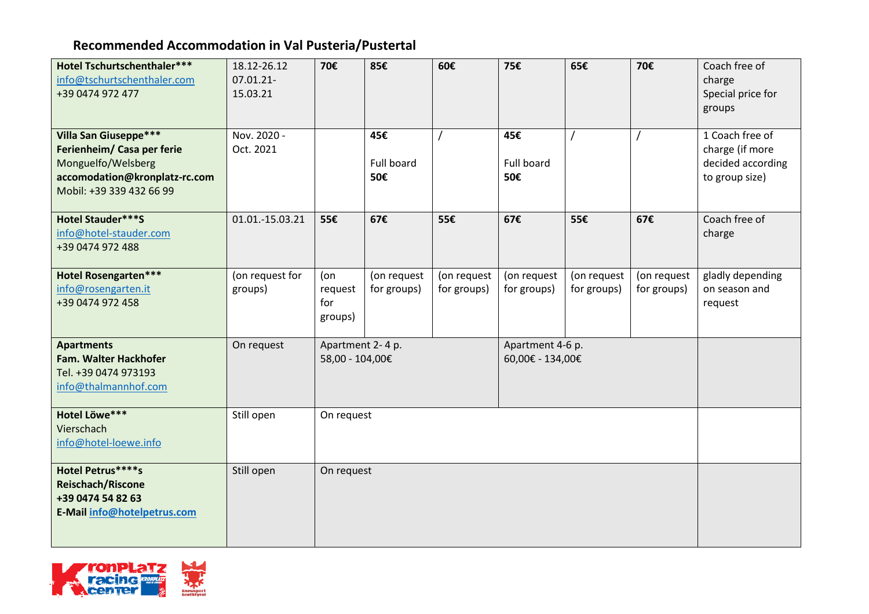## **Recommended Accommodation in Val Pusteria/Pustertal**

| Hotel Tschurtschenthaler***<br>info@tschurtschenthaler.com<br>+39 0474 972 477                                                                | 18.12-26.12<br>07.01.21-<br>15.03.21 | 70€                                                                         | 85€                        | 60€                        | 75€                        | 65€                        | 70€                        | Coach free of<br>charge<br>Special price for<br>groups                    |
|-----------------------------------------------------------------------------------------------------------------------------------------------|--------------------------------------|-----------------------------------------------------------------------------|----------------------------|----------------------------|----------------------------|----------------------------|----------------------------|---------------------------------------------------------------------------|
| <b>Villa San Giuseppe***</b><br>Ferienheim/ Casa per ferie<br>Monguelfo/Welsberg<br>accomodation@kronplatz-rc.com<br>Mobil: +39 339 432 66 99 | Nov. 2020 -<br>Oct. 2021             |                                                                             | 45€<br>Full board<br>50€   |                            | 45€<br>Full board<br>50€   |                            |                            | 1 Coach free of<br>charge (if more<br>decided according<br>to group size) |
| Hotel Stauder***S<br>info@hotel-stauder.com<br>+39 0474 972 488                                                                               | 01.01.-15.03.21                      | 55€                                                                         | 67€                        | 55€                        | 67€                        | 55€                        | 67€                        | Coach free of<br>charge                                                   |
| <b>Hotel Rosengarten***</b><br>info@rosengarten.it<br>+39 0474 972 458                                                                        | (on request for<br>groups)           | (on<br>request<br>for<br>groups)                                            | (on request<br>for groups) | (on request<br>for groups) | (on request<br>for groups) | (on request<br>for groups) | (on request<br>for groups) | gladly depending<br>on season and<br>request                              |
| <b>Apartments</b><br>Fam. Walter Hackhofer<br>Tel. +39 0474 973193<br>info@thalmannhof.com                                                    | On request                           | Apartment 2-4 p.<br>Apartment 4-6 p.<br>58,00 - 104,00€<br>60,00€ - 134,00€ |                            |                            |                            |                            |                            |                                                                           |
| Hotel Löwe***<br>Vierschach<br>info@hotel-loewe.info                                                                                          | Still open                           | On request                                                                  |                            |                            |                            |                            |                            |                                                                           |
| Hotel Petrus****s<br><b>Reischach/Riscone</b><br>+39 0474 54 82 63<br>E-Mail info@hotelpetrus.com                                             | Still open                           | On request                                                                  |                            |                            |                            |                            |                            |                                                                           |